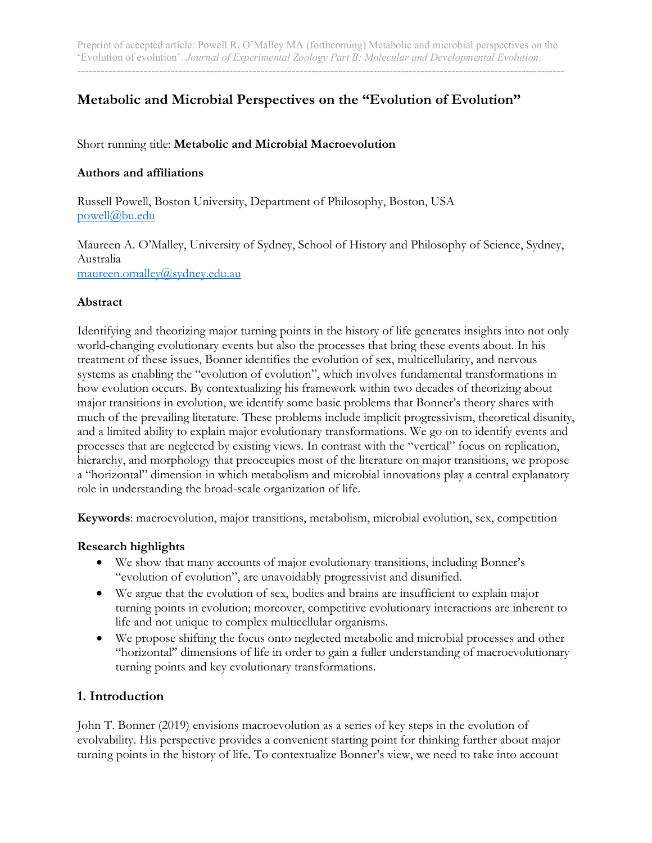# **Metabolic and Microbial Perspectives on the "Evolution of Evolution"**

# Short running title: **Metabolic and Microbial Macroevolution**

### **Authors and affiliations**

Russell Powell, Boston University, Department of Philosophy, Boston, USA powell@bu.edu

Maureen A. O'Malley, University of Sydney, School of History and Philosophy of Science, Sydney, Australia maureen.omalley@sydney.edu.au

#### **Abstract**

Identifying and theorizing major turning points in the history of life generates insights into not only world-changing evolutionary events but also the processes that bring these events about. In his treatment of these issues, Bonner identifies the evolution of sex, multicellularity, and nervous systems as enabling the "evolution of evolution", which involves fundamental transformations in how evolution occurs. By contextualizing his framework within two decades of theorizing about major transitions in evolution, we identify some basic problems that Bonner's theory shares with much of the prevailing literature. These problems include implicit progressivism, theoretical disunity, and a limited ability to explain major evolutionary transformations. We go on to identify events and processes that are neglected by existing views. In contrast with the "vertical" focus on replication, hierarchy, and morphology that preoccupies most of the literature on major transitions, we propose a "horizontal" dimension in which metabolism and microbial innovations play a central explanatory role in understanding the broad-scale organization of life.

**Keywords**: macroevolution, major transitions, metabolism, microbial evolution, sex, competition

#### **Research highlights**

- We show that many accounts of major evolutionary transitions, including Bonner's "evolution of evolution", are unavoidably progressivist and disunified.
- We argue that the evolution of sex, bodies and brains are insufficient to explain major turning points in evolution; moreover, competitive evolutionary interactions are inherent to life and not unique to complex multicellular organisms.
- We propose shifting the focus onto neglected metabolic and microbial processes and other "horizontal" dimensions of life in order to gain a fuller understanding of macroevolutionary turning points and key evolutionary transformations.

#### **1. Introduction**

John T. Bonner (2019) envisions macroevolution as a series of key steps in the evolution of evolvability. His perspective provides a convenient starting point for thinking further about major turning points in the history of life. To contextualize Bonner's view, we need to take into account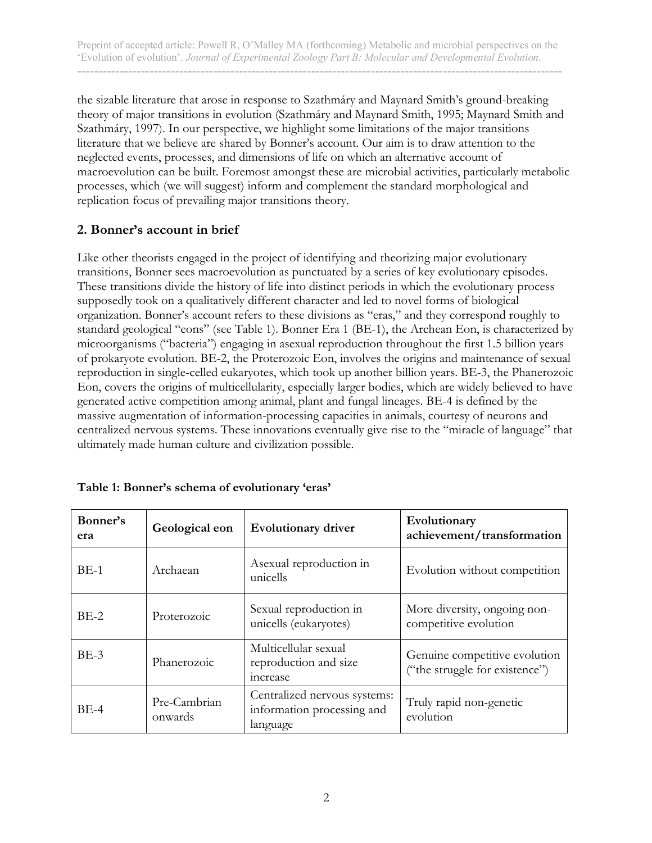the sizable literature that arose in response to Szathmáry and Maynard Smith's ground-breaking theory of major transitions in evolution (Szathmáry and Maynard Smith, 1995; Maynard Smith and Szathmáry, 1997). In our perspective, we highlight some limitations of the major transitions literature that we believe are shared by Bonner's account. Our aim is to draw attention to the neglected events, processes, and dimensions of life on which an alternative account of macroevolution can be built. Foremost amongst these are microbial activities, particularly metabolic processes, which (we will suggest) inform and complement the standard morphological and replication focus of prevailing major transitions theory.

# **2. Bonner's account in brief**

Like other theorists engaged in the project of identifying and theorizing major evolutionary transitions, Bonner sees macroevolution as punctuated by a series of key evolutionary episodes. These transitions divide the history of life into distinct periods in which the evolutionary process supposedly took on a qualitatively different character and led to novel forms of biological organization. Bonner's account refers to these divisions as "eras," and they correspond roughly to standard geological "eons" (see Table 1). Bonner Era 1 (BE-1), the Archean Eon, is characterized by microorganisms ("bacteria") engaging in asexual reproduction throughout the first 1.5 billion years of prokaryote evolution. BE-2, the Proterozoic Eon, involves the origins and maintenance of sexual reproduction in single-celled eukaryotes, which took up another billion years. BE-3, the Phanerozoic Eon, covers the origins of multicellularity, especially larger bodies, which are widely believed to have generated active competition among animal, plant and fungal lineages. BE-4 is defined by the massive augmentation of information-processing capacities in animals, courtesy of neurons and centralized nervous systems. These innovations eventually give rise to the "miracle of language" that ultimately made human culture and civilization possible.

| Bonner's<br>era | Geological eon          | <b>Evolutionary driver</b>                                             | Evolutionary<br>achievement/transformation                      |
|-----------------|-------------------------|------------------------------------------------------------------------|-----------------------------------------------------------------|
| $BE-1$          | Archaean                | Asexual reproduction in<br>unicells                                    | Evolution without competition                                   |
| $BE-2$          | Proterozoic             | Sexual reproduction in<br>unicells (eukaryotes)                        | More diversity, ongoing non-<br>competitive evolution           |
| $BE-3$          | Phanerozoic             | Multicellular sexual<br>reproduction and size<br>increase              | Genuine competitive evolution<br>("the struggle for existence") |
| $BE-4$          | Pre-Cambrian<br>onwards | Centralized nervous systems:<br>information processing and<br>language | Truly rapid non-genetic<br>evolution                            |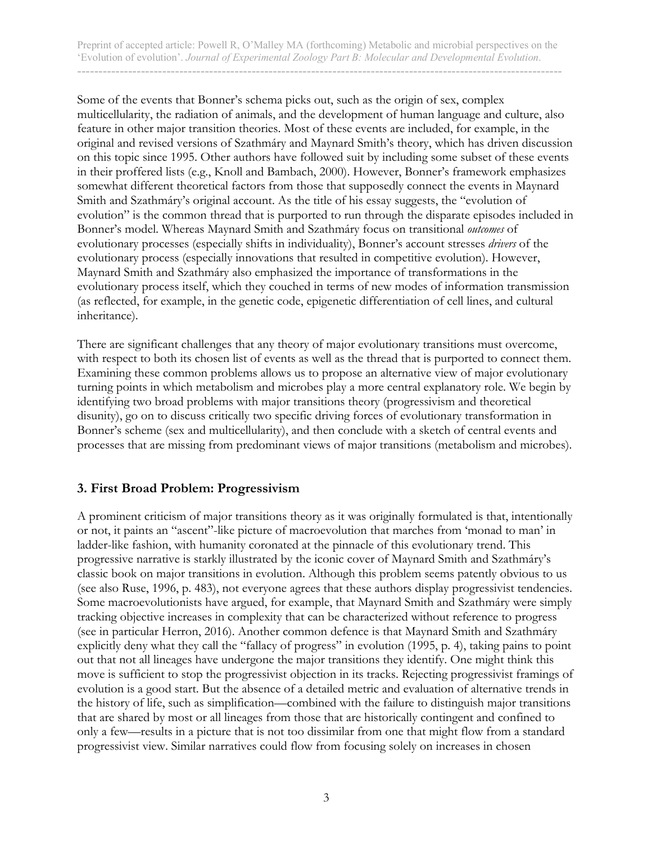Some of the events that Bonner's schema picks out, such as the origin of sex, complex multicellularity, the radiation of animals, and the development of human language and culture, also feature in other major transition theories. Most of these events are included, for example, in the original and revised versions of Szathmáry and Maynard Smith's theory, which has driven discussion on this topic since 1995. Other authors have followed suit by including some subset of these events in their proffered lists (e.g., Knoll and Bambach, 2000). However, Bonner's framework emphasizes somewhat different theoretical factors from those that supposedly connect the events in Maynard Smith and Szathmáry's original account. As the title of his essay suggests, the "evolution of evolution" is the common thread that is purported to run through the disparate episodes included in Bonner's model. Whereas Maynard Smith and Szathmáry focus on transitional *outcomes* of evolutionary processes (especially shifts in individuality), Bonner's account stresses *drivers* of the evolutionary process (especially innovations that resulted in competitive evolution). However, Maynard Smith and Szathmáry also emphasized the importance of transformations in the evolutionary process itself, which they couched in terms of new modes of information transmission (as reflected, for example, in the genetic code, epigenetic differentiation of cell lines, and cultural inheritance).

There are significant challenges that any theory of major evolutionary transitions must overcome, with respect to both its chosen list of events as well as the thread that is purported to connect them. Examining these common problems allows us to propose an alternative view of major evolutionary turning points in which metabolism and microbes play a more central explanatory role. We begin by identifying two broad problems with major transitions theory (progressivism and theoretical disunity), go on to discuss critically two specific driving forces of evolutionary transformation in Bonner's scheme (sex and multicellularity), and then conclude with a sketch of central events and processes that are missing from predominant views of major transitions (metabolism and microbes).

#### **3. First Broad Problem: Progressivism**

A prominent criticism of major transitions theory as it was originally formulated is that, intentionally or not, it paints an "ascent"-like picture of macroevolution that marches from 'monad to man' in ladder-like fashion, with humanity coronated at the pinnacle of this evolutionary trend. This progressive narrative is starkly illustrated by the iconic cover of Maynard Smith and Szathmáry's classic book on major transitions in evolution. Although this problem seems patently obvious to us (see also Ruse, 1996, p. 483), not everyone agrees that these authors display progressivist tendencies. Some macroevolutionists have argued, for example, that Maynard Smith and Szathmáry were simply tracking objective increases in complexity that can be characterized without reference to progress (see in particular Herron, 2016). Another common defence is that Maynard Smith and Szathmáry explicitly deny what they call the "fallacy of progress" in evolution (1995, p. 4), taking pains to point out that not all lineages have undergone the major transitions they identify. One might think this move is sufficient to stop the progressivist objection in its tracks. Rejecting progressivist framings of evolution is a good start. But the absence of a detailed metric and evaluation of alternative trends in the history of life, such as simplification—combined with the failure to distinguish major transitions that are shared by most or all lineages from those that are historically contingent and confined to only a few—results in a picture that is not too dissimilar from one that might flow from a standard progressivist view. Similar narratives could flow from focusing solely on increases in chosen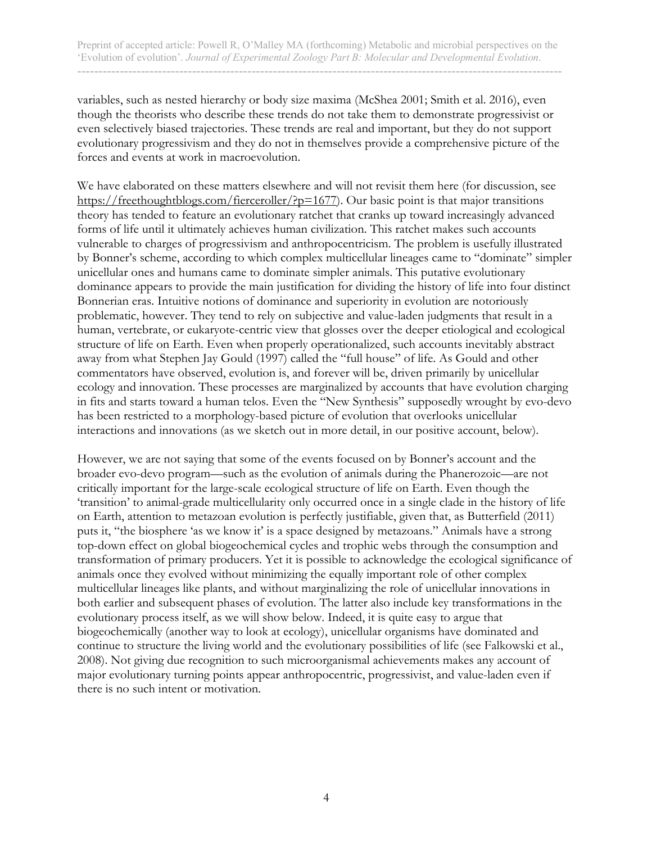variables, such as nested hierarchy or body size maxima (McShea 2001; Smith et al. 2016), even though the theorists who describe these trends do not take them to demonstrate progressivist or even selectively biased trajectories. These trends are real and important, but they do not support evolutionary progressivism and they do not in themselves provide a comprehensive picture of the forces and events at work in macroevolution.

We have elaborated on these matters elsewhere and will not revisit them here (for discussion, see https://freethoughtblogs.com/fierceroller/?p=1677). Our basic point is that major transitions theory has tended to feature an evolutionary ratchet that cranks up toward increasingly advanced forms of life until it ultimately achieves human civilization. This ratchet makes such accounts vulnerable to charges of progressivism and anthropocentricism. The problem is usefully illustrated by Bonner's scheme, according to which complex multicellular lineages came to "dominate" simpler unicellular ones and humans came to dominate simpler animals. This putative evolutionary dominance appears to provide the main justification for dividing the history of life into four distinct Bonnerian eras. Intuitive notions of dominance and superiority in evolution are notoriously problematic, however. They tend to rely on subjective and value-laden judgments that result in a human, vertebrate, or eukaryote-centric view that glosses over the deeper etiological and ecological structure of life on Earth. Even when properly operationalized, such accounts inevitably abstract away from what Stephen Jay Gould (1997) called the "full house" of life. As Gould and other commentators have observed, evolution is, and forever will be, driven primarily by unicellular ecology and innovation. These processes are marginalized by accounts that have evolution charging in fits and starts toward a human telos. Even the "New Synthesis" supposedly wrought by evo-devo has been restricted to a morphology-based picture of evolution that overlooks unicellular interactions and innovations (as we sketch out in more detail, in our positive account, below).

However, we are not saying that some of the events focused on by Bonner's account and the broader evo-devo program—such as the evolution of animals during the Phanerozoic—are not critically important for the large-scale ecological structure of life on Earth. Even though the 'transition' to animal-grade multicellularity only occurred once in a single clade in the history of life on Earth, attention to metazoan evolution is perfectly justifiable, given that, as Butterfield (2011) puts it, "the biosphere 'as we know it' is a space designed by metazoans." Animals have a strong top-down effect on global biogeochemical cycles and trophic webs through the consumption and transformation of primary producers. Yet it is possible to acknowledge the ecological significance of animals once they evolved without minimizing the equally important role of other complex multicellular lineages like plants, and without marginalizing the role of unicellular innovations in both earlier and subsequent phases of evolution. The latter also include key transformations in the evolutionary process itself, as we will show below. Indeed, it is quite easy to argue that biogeochemically (another way to look at ecology), unicellular organisms have dominated and continue to structure the living world and the evolutionary possibilities of life (see Falkowski et al., 2008). Not giving due recognition to such microorganismal achievements makes any account of major evolutionary turning points appear anthropocentric, progressivist, and value-laden even if there is no such intent or motivation.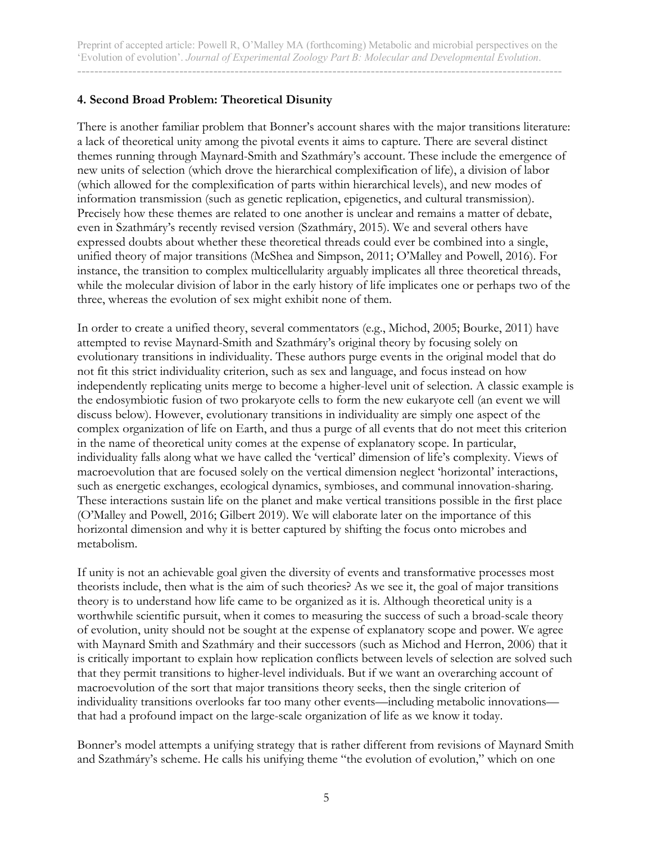# **4. Second Broad Problem: Theoretical Disunity**

There is another familiar problem that Bonner's account shares with the major transitions literature: a lack of theoretical unity among the pivotal events it aims to capture. There are several distinct themes running through Maynard-Smith and Szathmáry's account. These include the emergence of new units of selection (which drove the hierarchical complexification of life), a division of labor (which allowed for the complexification of parts within hierarchical levels), and new modes of information transmission (such as genetic replication, epigenetics, and cultural transmission). Precisely how these themes are related to one another is unclear and remains a matter of debate, even in Szathmáry's recently revised version (Szathmáry, 2015). We and several others have expressed doubts about whether these theoretical threads could ever be combined into a single, unified theory of major transitions (McShea and Simpson, 2011; O'Malley and Powell, 2016). For instance, the transition to complex multicellularity arguably implicates all three theoretical threads, while the molecular division of labor in the early history of life implicates one or perhaps two of the three, whereas the evolution of sex might exhibit none of them.

In order to create a unified theory, several commentators (e.g., Michod, 2005; Bourke, 2011) have attempted to revise Maynard-Smith and Szathmáry's original theory by focusing solely on evolutionary transitions in individuality. These authors purge events in the original model that do not fit this strict individuality criterion, such as sex and language, and focus instead on how independently replicating units merge to become a higher-level unit of selection. A classic example is the endosymbiotic fusion of two prokaryote cells to form the new eukaryote cell (an event we will discuss below). However, evolutionary transitions in individuality are simply one aspect of the complex organization of life on Earth, and thus a purge of all events that do not meet this criterion in the name of theoretical unity comes at the expense of explanatory scope. In particular, individuality falls along what we have called the 'vertical' dimension of life's complexity. Views of macroevolution that are focused solely on the vertical dimension neglect 'horizontal' interactions, such as energetic exchanges, ecological dynamics, symbioses, and communal innovation-sharing. These interactions sustain life on the planet and make vertical transitions possible in the first place (O'Malley and Powell, 2016; Gilbert 2019). We will elaborate later on the importance of this horizontal dimension and why it is better captured by shifting the focus onto microbes and metabolism.

If unity is not an achievable goal given the diversity of events and transformative processes most theorists include, then what is the aim of such theories? As we see it, the goal of major transitions theory is to understand how life came to be organized as it is. Although theoretical unity is a worthwhile scientific pursuit, when it comes to measuring the success of such a broad-scale theory of evolution, unity should not be sought at the expense of explanatory scope and power. We agree with Maynard Smith and Szathmáry and their successors (such as Michod and Herron, 2006) that it is critically important to explain how replication conflicts between levels of selection are solved such that they permit transitions to higher-level individuals. But if we want an overarching account of macroevolution of the sort that major transitions theory seeks, then the single criterion of individuality transitions overlooks far too many other events—including metabolic innovations that had a profound impact on the large-scale organization of life as we know it today.

Bonner's model attempts a unifying strategy that is rather different from revisions of Maynard Smith and Szathmáry's scheme. He calls his unifying theme "the evolution of evolution," which on one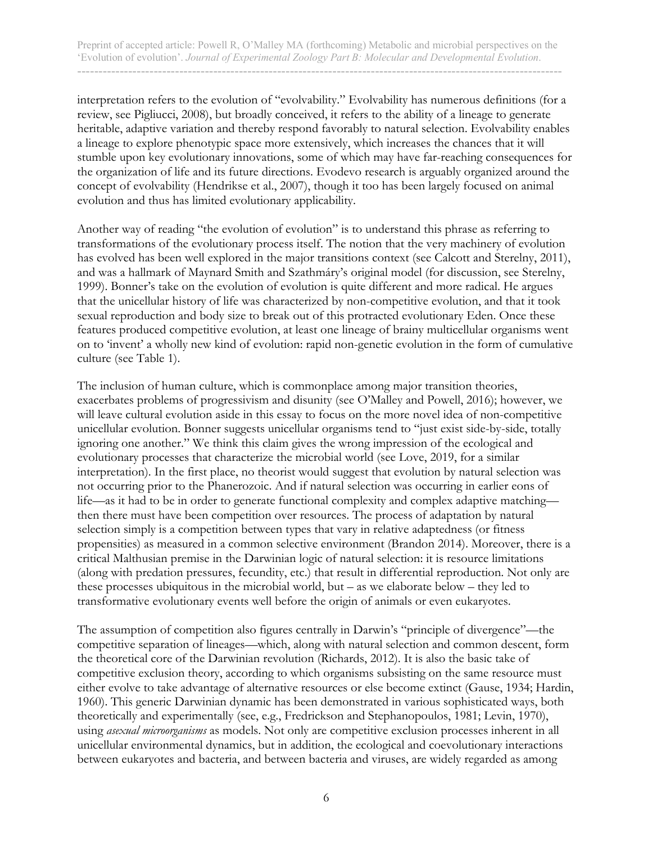interpretation refers to the evolution of "evolvability." Evolvability has numerous definitions (for a review, see Pigliucci, 2008), but broadly conceived, it refers to the ability of a lineage to generate heritable, adaptive variation and thereby respond favorably to natural selection. Evolvability enables a lineage to explore phenotypic space more extensively, which increases the chances that it will stumble upon key evolutionary innovations, some of which may have far-reaching consequences for the organization of life and its future directions. Evodevo research is arguably organized around the concept of evolvability (Hendrikse et al., 2007), though it too has been largely focused on animal evolution and thus has limited evolutionary applicability.

Another way of reading "the evolution of evolution" is to understand this phrase as referring to transformations of the evolutionary process itself. The notion that the very machinery of evolution has evolved has been well explored in the major transitions context (see Calcott and Sterelny, 2011), and was a hallmark of Maynard Smith and Szathmáry's original model (for discussion, see Sterelny, 1999). Bonner's take on the evolution of evolution is quite different and more radical. He argues that the unicellular history of life was characterized by non-competitive evolution, and that it took sexual reproduction and body size to break out of this protracted evolutionary Eden. Once these features produced competitive evolution, at least one lineage of brainy multicellular organisms went on to 'invent' a wholly new kind of evolution: rapid non-genetic evolution in the form of cumulative culture (see Table 1).

The inclusion of human culture, which is commonplace among major transition theories, exacerbates problems of progressivism and disunity (see O'Malley and Powell, 2016); however, we will leave cultural evolution aside in this essay to focus on the more novel idea of non-competitive unicellular evolution. Bonner suggests unicellular organisms tend to "just exist side-by-side, totally ignoring one another." We think this claim gives the wrong impression of the ecological and evolutionary processes that characterize the microbial world (see Love, 2019, for a similar interpretation). In the first place, no theorist would suggest that evolution by natural selection was not occurring prior to the Phanerozoic. And if natural selection was occurring in earlier eons of life—as it had to be in order to generate functional complexity and complex adaptive matching then there must have been competition over resources. The process of adaptation by natural selection simply is a competition between types that vary in relative adaptedness (or fitness propensities) as measured in a common selective environment (Brandon 2014). Moreover, there is a critical Malthusian premise in the Darwinian logic of natural selection: it is resource limitations (along with predation pressures, fecundity, etc.) that result in differential reproduction. Not only are these processes ubiquitous in the microbial world, but – as we elaborate below – they led to transformative evolutionary events well before the origin of animals or even eukaryotes.

The assumption of competition also figures centrally in Darwin's "principle of divergence"—the competitive separation of lineages—which, along with natural selection and common descent, form the theoretical core of the Darwinian revolution (Richards, 2012). It is also the basic take of competitive exclusion theory, according to which organisms subsisting on the same resource must either evolve to take advantage of alternative resources or else become extinct (Gause, 1934; Hardin, 1960). This generic Darwinian dynamic has been demonstrated in various sophisticated ways, both theoretically and experimentally (see, e.g., Fredrickson and Stephanopoulos, 1981; Levin, 1970), using *asexual microorganisms* as models. Not only are competitive exclusion processes inherent in all unicellular environmental dynamics, but in addition, the ecological and coevolutionary interactions between eukaryotes and bacteria, and between bacteria and viruses, are widely regarded as among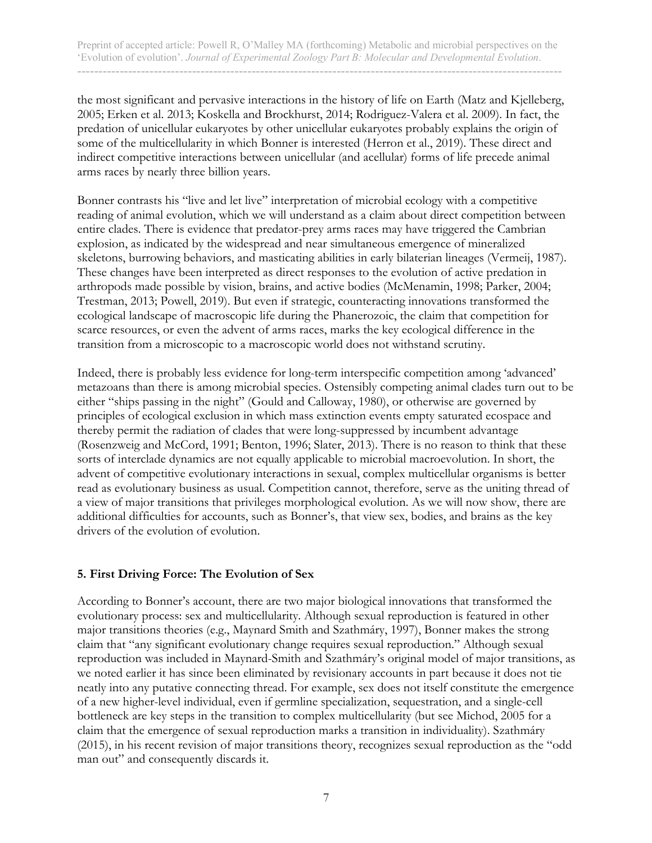the most significant and pervasive interactions in the history of life on Earth (Matz and Kjelleberg, 2005; Erken et al. 2013; Koskella and Brockhurst, 2014; Rodriguez-Valera et al. 2009). In fact, the predation of unicellular eukaryotes by other unicellular eukaryotes probably explains the origin of some of the multicellularity in which Bonner is interested (Herron et al., 2019). These direct and indirect competitive interactions between unicellular (and acellular) forms of life precede animal arms races by nearly three billion years.

Bonner contrasts his "live and let live" interpretation of microbial ecology with a competitive reading of animal evolution, which we will understand as a claim about direct competition between entire clades. There is evidence that predator-prey arms races may have triggered the Cambrian explosion, as indicated by the widespread and near simultaneous emergence of mineralized skeletons, burrowing behaviors, and masticating abilities in early bilaterian lineages (Vermeij, 1987). These changes have been interpreted as direct responses to the evolution of active predation in arthropods made possible by vision, brains, and active bodies (McMenamin, 1998; Parker, 2004; Trestman, 2013; Powell, 2019). But even if strategic, counteracting innovations transformed the ecological landscape of macroscopic life during the Phanerozoic, the claim that competition for scarce resources, or even the advent of arms races, marks the key ecological difference in the transition from a microscopic to a macroscopic world does not withstand scrutiny.

Indeed, there is probably less evidence for long-term interspecific competition among 'advanced' metazoans than there is among microbial species. Ostensibly competing animal clades turn out to be either "ships passing in the night" (Gould and Calloway, 1980), or otherwise are governed by principles of ecological exclusion in which mass extinction events empty saturated ecospace and thereby permit the radiation of clades that were long-suppressed by incumbent advantage (Rosenzweig and McCord, 1991; Benton, 1996; Slater, 2013). There is no reason to think that these sorts of interclade dynamics are not equally applicable to microbial macroevolution. In short, the advent of competitive evolutionary interactions in sexual, complex multicellular organisms is better read as evolutionary business as usual. Competition cannot, therefore, serve as the uniting thread of a view of major transitions that privileges morphological evolution. As we will now show, there are additional difficulties for accounts, such as Bonner's, that view sex, bodies, and brains as the key drivers of the evolution of evolution.

#### **5. First Driving Force: The Evolution of Sex**

According to Bonner's account, there are two major biological innovations that transformed the evolutionary process: sex and multicellularity. Although sexual reproduction is featured in other major transitions theories (e.g., Maynard Smith and Szathmáry, 1997), Bonner makes the strong claim that "any significant evolutionary change requires sexual reproduction." Although sexual reproduction was included in Maynard-Smith and Szathmáry's original model of major transitions, as we noted earlier it has since been eliminated by revisionary accounts in part because it does not tie neatly into any putative connecting thread. For example, sex does not itself constitute the emergence of a new higher-level individual, even if germline specialization, sequestration, and a single-cell bottleneck are key steps in the transition to complex multicellularity (but see Michod, 2005 for a claim that the emergence of sexual reproduction marks a transition in individuality). Szathmáry (2015), in his recent revision of major transitions theory, recognizes sexual reproduction as the "odd man out" and consequently discards it.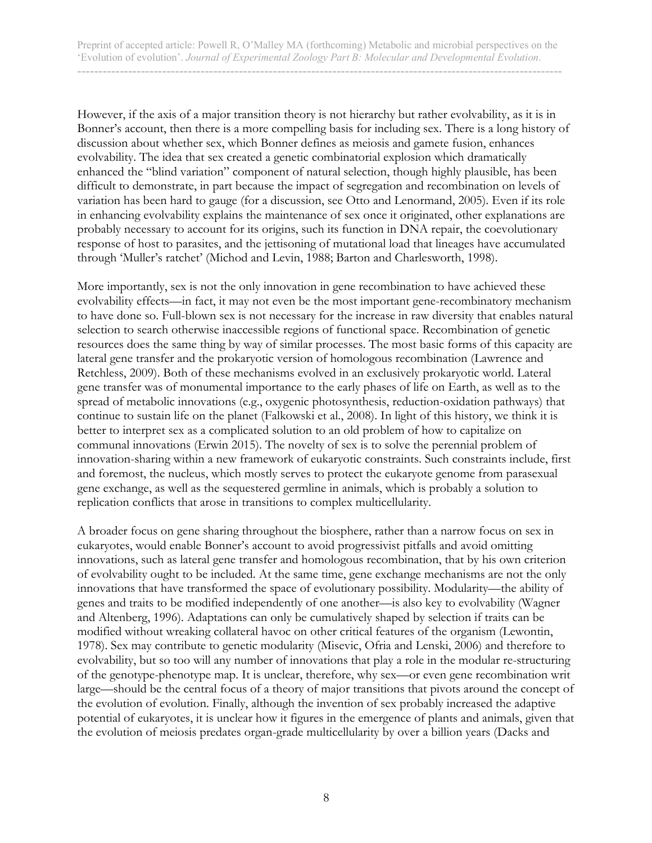However, if the axis of a major transition theory is not hierarchy but rather evolvability, as it is in Bonner's account, then there is a more compelling basis for including sex. There is a long history of discussion about whether sex, which Bonner defines as meiosis and gamete fusion, enhances evolvability. The idea that sex created a genetic combinatorial explosion which dramatically enhanced the "blind variation" component of natural selection, though highly plausible, has been difficult to demonstrate, in part because the impact of segregation and recombination on levels of variation has been hard to gauge (for a discussion, see Otto and Lenormand, 2005). Even if its role in enhancing evolvability explains the maintenance of sex once it originated, other explanations are probably necessary to account for its origins, such its function in DNA repair, the coevolutionary response of host to parasites, and the jettisoning of mutational load that lineages have accumulated through 'Muller's ratchet' (Michod and Levin, 1988; Barton and Charlesworth, 1998).

More importantly, sex is not the only innovation in gene recombination to have achieved these evolvability effects—in fact, it may not even be the most important gene-recombinatory mechanism to have done so. Full-blown sex is not necessary for the increase in raw diversity that enables natural selection to search otherwise inaccessible regions of functional space. Recombination of genetic resources does the same thing by way of similar processes. The most basic forms of this capacity are lateral gene transfer and the prokaryotic version of homologous recombination (Lawrence and Retchless, 2009). Both of these mechanisms evolved in an exclusively prokaryotic world. Lateral gene transfer was of monumental importance to the early phases of life on Earth, as well as to the spread of metabolic innovations (e.g., oxygenic photosynthesis, reduction-oxidation pathways) that continue to sustain life on the planet (Falkowski et al., 2008). In light of this history, we think it is better to interpret sex as a complicated solution to an old problem of how to capitalize on communal innovations (Erwin 2015). The novelty of sex is to solve the perennial problem of innovation-sharing within a new framework of eukaryotic constraints. Such constraints include, first and foremost, the nucleus, which mostly serves to protect the eukaryote genome from parasexual gene exchange, as well as the sequestered germline in animals, which is probably a solution to replication conflicts that arose in transitions to complex multicellularity.

A broader focus on gene sharing throughout the biosphere, rather than a narrow focus on sex in eukaryotes, would enable Bonner's account to avoid progressivist pitfalls and avoid omitting innovations, such as lateral gene transfer and homologous recombination, that by his own criterion of evolvability ought to be included. At the same time, gene exchange mechanisms are not the only innovations that have transformed the space of evolutionary possibility. Modularity—the ability of genes and traits to be modified independently of one another—is also key to evolvability (Wagner and Altenberg, 1996). Adaptations can only be cumulatively shaped by selection if traits can be modified without wreaking collateral havoc on other critical features of the organism (Lewontin, 1978). Sex may contribute to genetic modularity (Misevic, Ofria and Lenski, 2006) and therefore to evolvability, but so too will any number of innovations that play a role in the modular re-structuring of the genotype-phenotype map. It is unclear, therefore, why sex—or even gene recombination writ large—should be the central focus of a theory of major transitions that pivots around the concept of the evolution of evolution. Finally, although the invention of sex probably increased the adaptive potential of eukaryotes, it is unclear how it figures in the emergence of plants and animals, given that the evolution of meiosis predates organ-grade multicellularity by over a billion years (Dacks and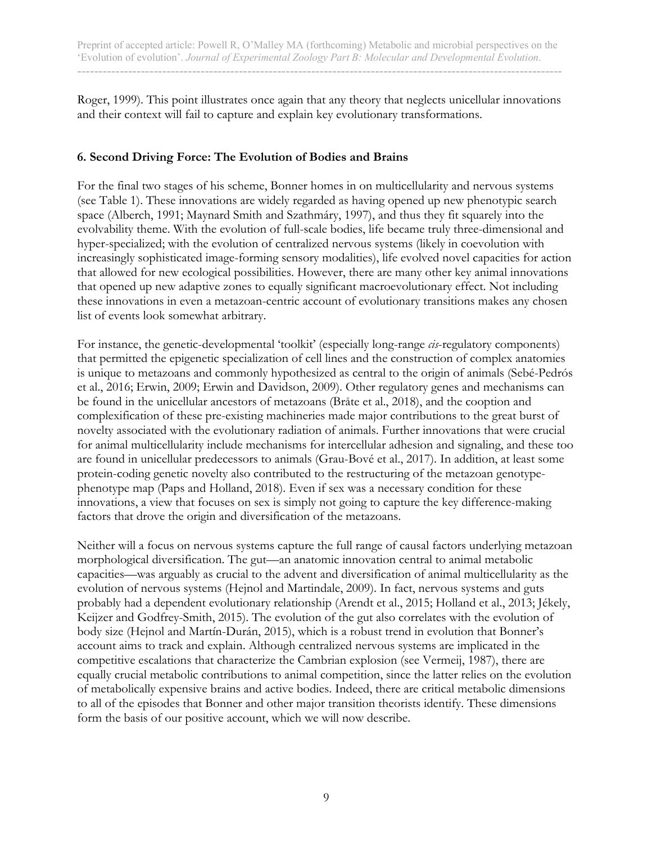Roger, 1999). This point illustrates once again that any theory that neglects unicellular innovations and their context will fail to capture and explain key evolutionary transformations.

## **6. Second Driving Force: The Evolution of Bodies and Brains**

For the final two stages of his scheme, Bonner homes in on multicellularity and nervous systems (see Table 1). These innovations are widely regarded as having opened up new phenotypic search space (Alberch, 1991; Maynard Smith and Szathmáry, 1997), and thus they fit squarely into the evolvability theme. With the evolution of full-scale bodies, life became truly three-dimensional and hyper-specialized; with the evolution of centralized nervous systems (likely in coevolution with increasingly sophisticated image-forming sensory modalities), life evolved novel capacities for action that allowed for new ecological possibilities. However, there are many other key animal innovations that opened up new adaptive zones to equally significant macroevolutionary effect. Not including these innovations in even a metazoan-centric account of evolutionary transitions makes any chosen list of events look somewhat arbitrary.

For instance, the genetic-developmental 'toolkit' (especially long-range *cis*-regulatory components) that permitted the epigenetic specialization of cell lines and the construction of complex anatomies is unique to metazoans and commonly hypothesized as central to the origin of animals (Sebé-Pedrós et al., 2016; Erwin, 2009; Erwin and Davidson, 2009). Other regulatory genes and mechanisms can be found in the unicellular ancestors of metazoans (Bråte et al., 2018), and the cooption and complexification of these pre-existing machineries made major contributions to the great burst of novelty associated with the evolutionary radiation of animals. Further innovations that were crucial for animal multicellularity include mechanisms for intercellular adhesion and signaling, and these too are found in unicellular predecessors to animals (Grau-Bové et al., 2017). In addition, at least some protein-coding genetic novelty also contributed to the restructuring of the metazoan genotypephenotype map (Paps and Holland, 2018). Even if sex was a necessary condition for these innovations, a view that focuses on sex is simply not going to capture the key difference-making factors that drove the origin and diversification of the metazoans.

Neither will a focus on nervous systems capture the full range of causal factors underlying metazoan morphological diversification. The gut—an anatomic innovation central to animal metabolic capacities—was arguably as crucial to the advent and diversification of animal multicellularity as the evolution of nervous systems (Hejnol and Martindale, 2009). In fact, nervous systems and guts probably had a dependent evolutionary relationship (Arendt et al., 2015; Holland et al., 2013; Jékely, Keijzer and Godfrey-Smith, 2015). The evolution of the gut also correlates with the evolution of body size (Hejnol and Martín-Durán, 2015), which is a robust trend in evolution that Bonner's account aims to track and explain. Although centralized nervous systems are implicated in the competitive escalations that characterize the Cambrian explosion (see Vermeij, 1987), there are equally crucial metabolic contributions to animal competition, since the latter relies on the evolution of metabolically expensive brains and active bodies. Indeed, there are critical metabolic dimensions to all of the episodes that Bonner and other major transition theorists identify. These dimensions form the basis of our positive account, which we will now describe.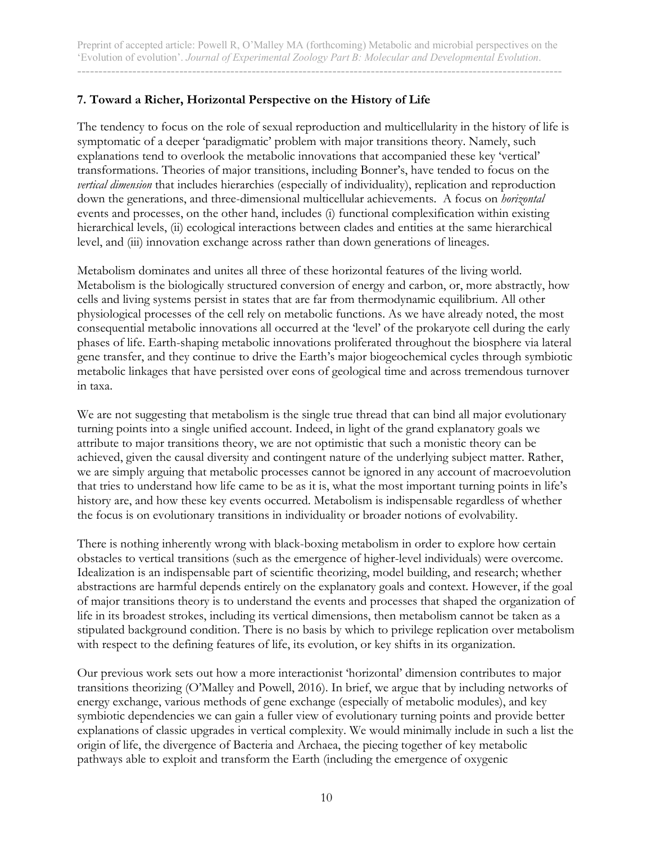# **7. Toward a Richer, Horizontal Perspective on the History of Life**

The tendency to focus on the role of sexual reproduction and multicellularity in the history of life is symptomatic of a deeper 'paradigmatic' problem with major transitions theory. Namely, such explanations tend to overlook the metabolic innovations that accompanied these key 'vertical' transformations. Theories of major transitions, including Bonner's, have tended to focus on the *vertical dimension* that includes hierarchies (especially of individuality), replication and reproduction down the generations, and three-dimensional multicellular achievements. A focus on *horizontal* events and processes, on the other hand, includes (i) functional complexification within existing hierarchical levels, (ii) ecological interactions between clades and entities at the same hierarchical level, and (iii) innovation exchange across rather than down generations of lineages.

Metabolism dominates and unites all three of these horizontal features of the living world. Metabolism is the biologically structured conversion of energy and carbon, or, more abstractly, how cells and living systems persist in states that are far from thermodynamic equilibrium. All other physiological processes of the cell rely on metabolic functions. As we have already noted, the most consequential metabolic innovations all occurred at the 'level' of the prokaryote cell during the early phases of life. Earth-shaping metabolic innovations proliferated throughout the biosphere via lateral gene transfer, and they continue to drive the Earth's major biogeochemical cycles through symbiotic metabolic linkages that have persisted over eons of geological time and across tremendous turnover in taxa.

We are not suggesting that metabolism is the single true thread that can bind all major evolutionary turning points into a single unified account. Indeed, in light of the grand explanatory goals we attribute to major transitions theory, we are not optimistic that such a monistic theory can be achieved, given the causal diversity and contingent nature of the underlying subject matter. Rather, we are simply arguing that metabolic processes cannot be ignored in any account of macroevolution that tries to understand how life came to be as it is, what the most important turning points in life's history are, and how these key events occurred. Metabolism is indispensable regardless of whether the focus is on evolutionary transitions in individuality or broader notions of evolvability.

There is nothing inherently wrong with black-boxing metabolism in order to explore how certain obstacles to vertical transitions (such as the emergence of higher-level individuals) were overcome. Idealization is an indispensable part of scientific theorizing, model building, and research; whether abstractions are harmful depends entirely on the explanatory goals and context. However, if the goal of major transitions theory is to understand the events and processes that shaped the organization of life in its broadest strokes, including its vertical dimensions, then metabolism cannot be taken as a stipulated background condition. There is no basis by which to privilege replication over metabolism with respect to the defining features of life, its evolution, or key shifts in its organization.

Our previous work sets out how a more interactionist 'horizontal' dimension contributes to major transitions theorizing (O'Malley and Powell, 2016). In brief, we argue that by including networks of energy exchange, various methods of gene exchange (especially of metabolic modules), and key symbiotic dependencies we can gain a fuller view of evolutionary turning points and provide better explanations of classic upgrades in vertical complexity. We would minimally include in such a list the origin of life, the divergence of Bacteria and Archaea, the piecing together of key metabolic pathways able to exploit and transform the Earth (including the emergence of oxygenic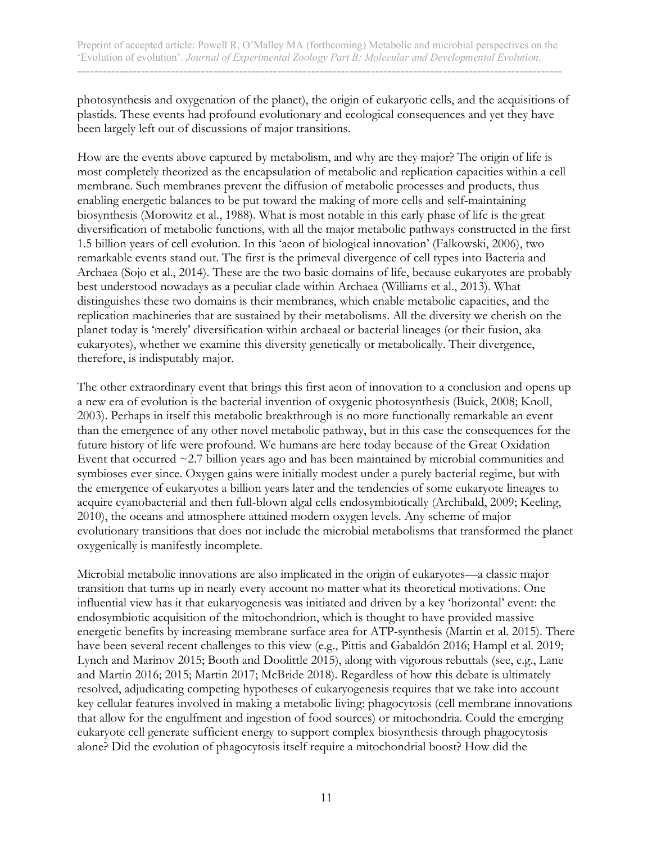photosynthesis and oxygenation of the planet), the origin of eukaryotic cells, and the acquisitions of plastids. These events had profound evolutionary and ecological consequences and yet they have been largely left out of discussions of major transitions.

How are the events above captured by metabolism, and why are they major? The origin of life is most completely theorized as the encapsulation of metabolic and replication capacities within a cell membrane. Such membranes prevent the diffusion of metabolic processes and products, thus enabling energetic balances to be put toward the making of more cells and self-maintaining biosynthesis (Morowitz et al., 1988). What is most notable in this early phase of life is the great diversification of metabolic functions, with all the major metabolic pathways constructed in the first 1.5 billion years of cell evolution. In this 'aeon of biological innovation' (Falkowski, 2006), two remarkable events stand out. The first is the primeval divergence of cell types into Bacteria and Archaea (Sojo et al., 2014). These are the two basic domains of life, because eukaryotes are probably best understood nowadays as a peculiar clade within Archaea (Williams et al., 2013). What distinguishes these two domains is their membranes, which enable metabolic capacities, and the replication machineries that are sustained by their metabolisms. All the diversity we cherish on the planet today is 'merely' diversification within archaeal or bacterial lineages (or their fusion, aka eukaryotes), whether we examine this diversity genetically or metabolically. Their divergence, therefore, is indisputably major.

The other extraordinary event that brings this first aeon of innovation to a conclusion and opens up a new era of evolution is the bacterial invention of oxygenic photosynthesis (Buick, 2008; Knoll, 2003). Perhaps in itself this metabolic breakthrough is no more functionally remarkable an event than the emergence of any other novel metabolic pathway, but in this case the consequences for the future history of life were profound. We humans are here today because of the Great Oxidation Event that occurred  $\sim$  2.7 billion years ago and has been maintained by microbial communities and symbioses ever since. Oxygen gains were initially modest under a purely bacterial regime, but with the emergence of eukaryotes a billion years later and the tendencies of some eukaryote lineages to acquire cyanobacterial and then full-blown algal cells endosymbiotically (Archibald, 2009; Keeling, 2010), the oceans and atmosphere attained modern oxygen levels. Any scheme of major evolutionary transitions that does not include the microbial metabolisms that transformed the planet oxygenically is manifestly incomplete.

Microbial metabolic innovations are also implicated in the origin of eukaryotes—a classic major transition that turns up in nearly every account no matter what its theoretical motivations. One influential view has it that eukaryogenesis was initiated and driven by a key 'horizontal' event: the endosymbiotic acquisition of the mitochondrion, which is thought to have provided massive energetic benefits by increasing membrane surface area for ATP-synthesis (Martin et al. 2015). There have been several recent challenges to this view (e.g., Pittis and Gabaldón 2016; Hampl et al. 2019; Lynch and Marinov 2015; Booth and Doolittle 2015), along with vigorous rebuttals (see, e.g., Lane and Martin 2016; 2015; Martin 2017; McBride 2018). Regardless of how this debate is ultimately resolved, adjudicating competing hypotheses of eukaryogenesis requires that we take into account key cellular features involved in making a metabolic living: phagocytosis (cell membrane innovations that allow for the engulfment and ingestion of food sources) or mitochondria. Could the emerging eukaryote cell generate sufficient energy to support complex biosynthesis through phagocytosis alone? Did the evolution of phagocytosis itself require a mitochondrial boost? How did the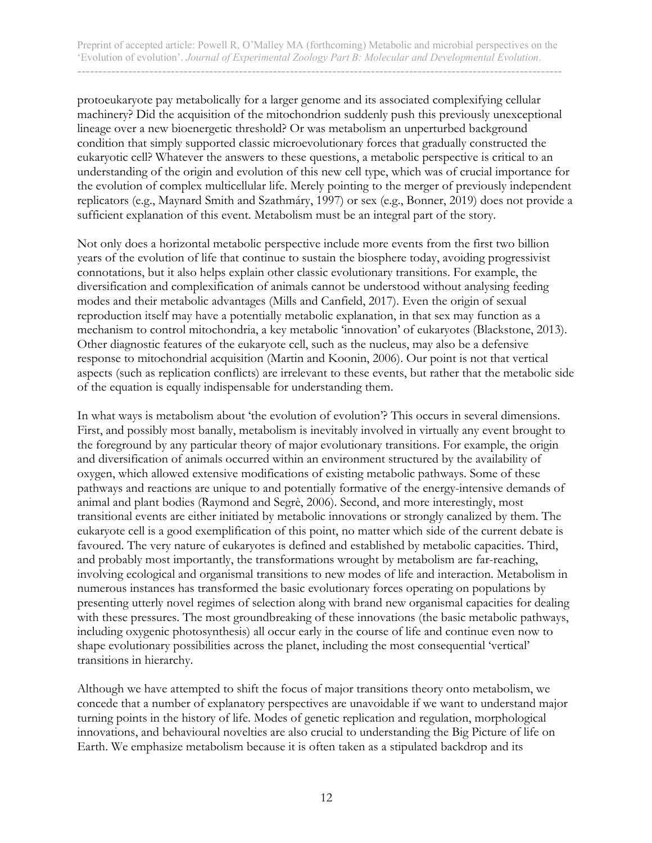protoeukaryote pay metabolically for a larger genome and its associated complexifying cellular machinery? Did the acquisition of the mitochondrion suddenly push this previously unexceptional lineage over a new bioenergetic threshold? Or was metabolism an unperturbed background condition that simply supported classic microevolutionary forces that gradually constructed the eukaryotic cell? Whatever the answers to these questions, a metabolic perspective is critical to an understanding of the origin and evolution of this new cell type, which was of crucial importance for the evolution of complex multicellular life. Merely pointing to the merger of previously independent replicators (e.g., Maynard Smith and Szathmáry, 1997) or sex (e.g., Bonner, 2019) does not provide a sufficient explanation of this event. Metabolism must be an integral part of the story.

Not only does a horizontal metabolic perspective include more events from the first two billion years of the evolution of life that continue to sustain the biosphere today, avoiding progressivist connotations, but it also helps explain other classic evolutionary transitions. For example, the diversification and complexification of animals cannot be understood without analysing feeding modes and their metabolic advantages (Mills and Canfield, 2017). Even the origin of sexual reproduction itself may have a potentially metabolic explanation, in that sex may function as a mechanism to control mitochondria, a key metabolic 'innovation' of eukaryotes (Blackstone, 2013). Other diagnostic features of the eukaryote cell, such as the nucleus, may also be a defensive response to mitochondrial acquisition (Martin and Koonin, 2006). Our point is not that vertical aspects (such as replication conflicts) are irrelevant to these events, but rather that the metabolic side of the equation is equally indispensable for understanding them.

In what ways is metabolism about 'the evolution of evolution'? This occurs in several dimensions. First, and possibly most banally, metabolism is inevitably involved in virtually any event brought to the foreground by any particular theory of major evolutionary transitions. For example, the origin and diversification of animals occurred within an environment structured by the availability of oxygen, which allowed extensive modifications of existing metabolic pathways. Some of these pathways and reactions are unique to and potentially formative of the energy-intensive demands of animal and plant bodies (Raymond and Segrè, 2006). Second, and more interestingly, most transitional events are either initiated by metabolic innovations or strongly canalized by them. The eukaryote cell is a good exemplification of this point, no matter which side of the current debate is favoured. The very nature of eukaryotes is defined and established by metabolic capacities. Third, and probably most importantly, the transformations wrought by metabolism are far-reaching, involving ecological and organismal transitions to new modes of life and interaction. Metabolism in numerous instances has transformed the basic evolutionary forces operating on populations by presenting utterly novel regimes of selection along with brand new organismal capacities for dealing with these pressures. The most groundbreaking of these innovations (the basic metabolic pathways, including oxygenic photosynthesis) all occur early in the course of life and continue even now to shape evolutionary possibilities across the planet, including the most consequential 'vertical' transitions in hierarchy.

Although we have attempted to shift the focus of major transitions theory onto metabolism, we concede that a number of explanatory perspectives are unavoidable if we want to understand major turning points in the history of life. Modes of genetic replication and regulation, morphological innovations, and behavioural novelties are also crucial to understanding the Big Picture of life on Earth. We emphasize metabolism because it is often taken as a stipulated backdrop and its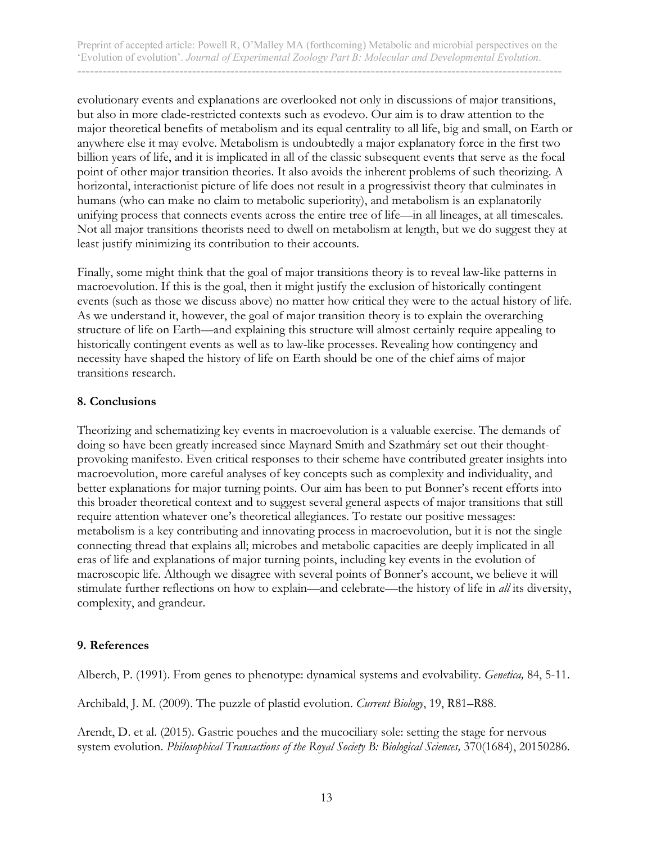evolutionary events and explanations are overlooked not only in discussions of major transitions, but also in more clade-restricted contexts such as evodevo. Our aim is to draw attention to the major theoretical benefits of metabolism and its equal centrality to all life, big and small, on Earth or anywhere else it may evolve. Metabolism is undoubtedly a major explanatory force in the first two billion years of life, and it is implicated in all of the classic subsequent events that serve as the focal point of other major transition theories. It also avoids the inherent problems of such theorizing. A horizontal, interactionist picture of life does not result in a progressivist theory that culminates in humans (who can make no claim to metabolic superiority), and metabolism is an explanatorily unifying process that connects events across the entire tree of life—in all lineages, at all timescales. Not all major transitions theorists need to dwell on metabolism at length, but we do suggest they at least justify minimizing its contribution to their accounts.

Finally, some might think that the goal of major transitions theory is to reveal law-like patterns in macroevolution. If this is the goal, then it might justify the exclusion of historically contingent events (such as those we discuss above) no matter how critical they were to the actual history of life. As we understand it, however, the goal of major transition theory is to explain the overarching structure of life on Earth—and explaining this structure will almost certainly require appealing to historically contingent events as well as to law-like processes. Revealing how contingency and necessity have shaped the history of life on Earth should be one of the chief aims of major transitions research.

#### **8. Conclusions**

Theorizing and schematizing key events in macroevolution is a valuable exercise. The demands of doing so have been greatly increased since Maynard Smith and Szathmáry set out their thoughtprovoking manifesto. Even critical responses to their scheme have contributed greater insights into macroevolution, more careful analyses of key concepts such as complexity and individuality, and better explanations for major turning points. Our aim has been to put Bonner's recent efforts into this broader theoretical context and to suggest several general aspects of major transitions that still require attention whatever one's theoretical allegiances. To restate our positive messages: metabolism is a key contributing and innovating process in macroevolution, but it is not the single connecting thread that explains all; microbes and metabolic capacities are deeply implicated in all eras of life and explanations of major turning points, including key events in the evolution of macroscopic life. Although we disagree with several points of Bonner's account, we believe it will stimulate further reflections on how to explain—and celebrate—the history of life in *all* its diversity, complexity, and grandeur.

#### **9. References**

Alberch, P. (1991). From genes to phenotype: dynamical systems and evolvability. *Genetica,* 84, 5-11.

Archibald, J. M. (2009). The puzzle of plastid evolution. *Current Biology*, 19, R81–R88.

Arendt, D. et al. (2015). Gastric pouches and the mucociliary sole: setting the stage for nervous system evolution. *Philosophical Transactions of the Royal Society B: Biological Sciences,* 370(1684), 20150286.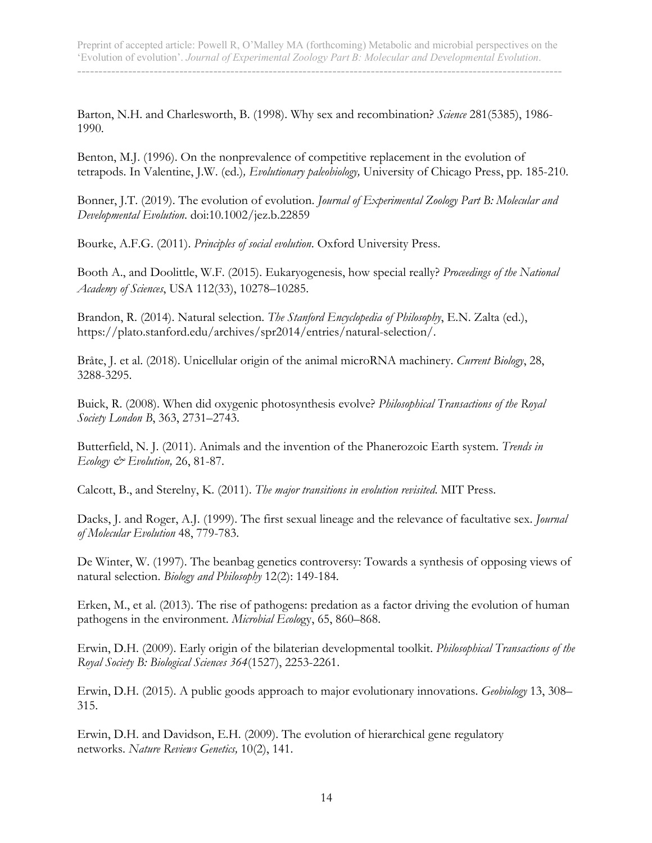Barton, N.H. and Charlesworth, B. (1998). Why sex and recombination? *Science* 281(5385), 1986- 1990.

Benton, M.J. (1996). On the nonprevalence of competitive replacement in the evolution of tetrapods. In Valentine, J.W. (ed.)*, Evolutionary paleobiology,* University of Chicago Press, pp. 185-210.

Bonner, J.T. (2019). The evolution of evolution. *Journal of Experimental Zoology Part B: Molecular and Developmental Evolution*. doi:10.1002/jez.b.22859

Bourke, A.F.G. (2011). *Principles of social evolution*. Oxford University Press.

Booth A., and Doolittle, W.F. (2015). Eukaryogenesis, how special really? *Proceedings of the National Academy of Sciences*, USA 112(33), 10278–10285.

Brandon, R. (2014). Natural selection. *The Stanford Encyclopedia of Philosophy*, E.N. Zalta (ed.), https://plato.stanford.edu/archives/spr2014/entries/natural-selection/.

Bråte, J. et al. (2018). Unicellular origin of the animal microRNA machinery. *Current Biology*, 28, 3288-3295.

Buick, R. (2008). When did oxygenic photosynthesis evolve? *Philosophical Transactions of the Royal Society London B*, 363, 2731–2743.

Butterfield, N. J. (2011). Animals and the invention of the Phanerozoic Earth system. *Trends in Ecology & Evolution,* 26, 81-87.

Calcott, B., and Sterelny, K. (2011). *The major transitions in evolution revisited*. MIT Press.

Dacks, J. and Roger, A.J. (1999). The first sexual lineage and the relevance of facultative sex. *Journal of Molecular Evolution* 48, 779-783.

De Winter, W. (1997). The beanbag genetics controversy: Towards a synthesis of opposing views of natural selection. *Biology and Philosophy* 12(2): 149-184.

Erken, M., et al. (2013). The rise of pathogens: predation as a factor driving the evolution of human pathogens in the environment. *Microbial Ecolo*gy, 65, 860–868.

Erwin, D.H. (2009). Early origin of the bilaterian developmental toolkit. *Philosophical Transactions of the Royal Society B: Biological Sciences 364*(1527), 2253-2261.

Erwin, D.H. (2015). A public goods approach to major evolutionary innovations. *Geobiology* 13, 308– 315.

Erwin, D.H. and Davidson, E.H. (2009). The evolution of hierarchical gene regulatory networks. *Nature Reviews Genetics,* 10(2), 141.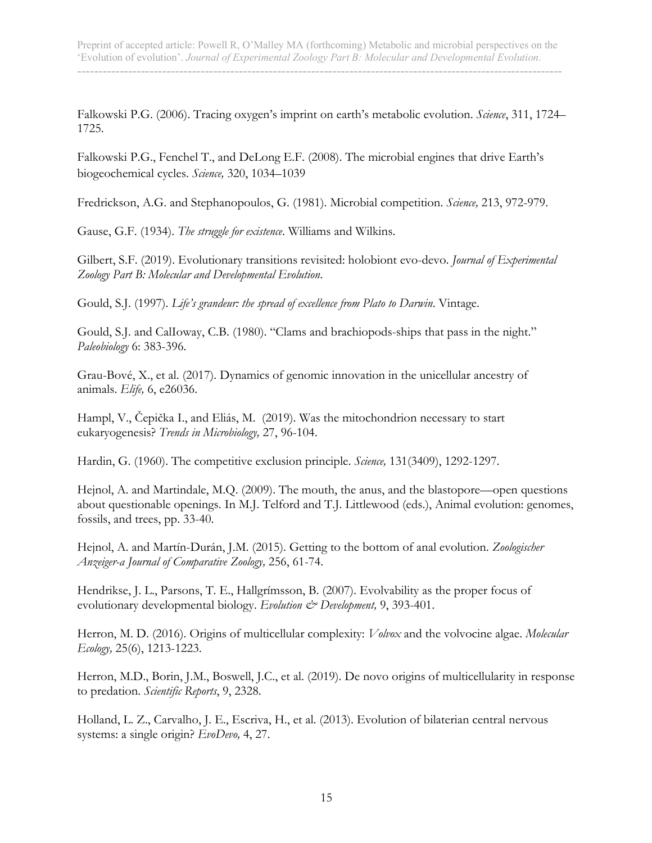Falkowski P.G. (2006). Tracing oxygen's imprint on earth's metabolic evolution. *Science*, 311, 1724– 1725.

Falkowski P.G., Fenchel T., and DeLong E.F. (2008). The microbial engines that drive Earth's biogeochemical cycles. *Science,* 320, 1034–1039

Fredrickson, A.G. and Stephanopoulos, G. (1981). Microbial competition. *Science,* 213, 972-979.

Gause, G.F. (1934). *The struggle for existence*. Williams and Wilkins.

Gilbert, S.F. (2019). Evolutionary transitions revisited: holobiont evo-devo. *Journal of Experimental Zoology Part B: Molecular and Developmental Evolution*.

Gould, S.J. (1997). *Life's grandeur: the spread of excellence from Plato to Darwin*. Vintage.

Gould, S.J. and CalIoway, C.B. (1980). "Clams and brachiopods-ships that pass in the night." *Paleobiology* 6: 383-396.

Grau-Bové, X., et al. (2017). Dynamics of genomic innovation in the unicellular ancestry of animals. *Elife,* 6, e26036.

Hampl, V., Čepička I., and Eliás, M. (2019). Was the mitochondrion necessary to start eukaryogenesis? *Trends in Microbiology,* 27, 96-104.

Hardin, G. (1960). The competitive exclusion principle. *Science,* 131(3409), 1292-1297.

Hejnol, A. and Martindale, M.Q. (2009). The mouth, the anus, and the blastopore—open questions about questionable openings. In M.J. Telford and T.J. Littlewood (eds.), Animal evolution: genomes, fossils, and trees, pp. 33-40.

Hejnol, A. and Martín-Durán, J.M. (2015). Getting to the bottom of anal evolution. *Zoologischer Anzeiger-a Journal of Comparative Zoology,* 256, 61-74.

Hendrikse, J. L., Parsons, T. E., Hallgrímsson, B. (2007). Evolvability as the proper focus of evolutionary developmental biology. *Evolution & Development*, 9, 393-401.

Herron, M. D. (2016). Origins of multicellular complexity: *Volvox* and the volvocine algae. *Molecular Ecology,* 25(6), 1213-1223.

Herron, M.D., Borin, J.M., Boswell, J.C., et al. (2019). De novo origins of multicellularity in response to predation. *Scientific Reports*, 9, 2328.

Holland, L. Z., Carvalho, J. E., Escriva, H., et al. (2013). Evolution of bilaterian central nervous systems: a single origin? *EvoDevo,* 4, 27.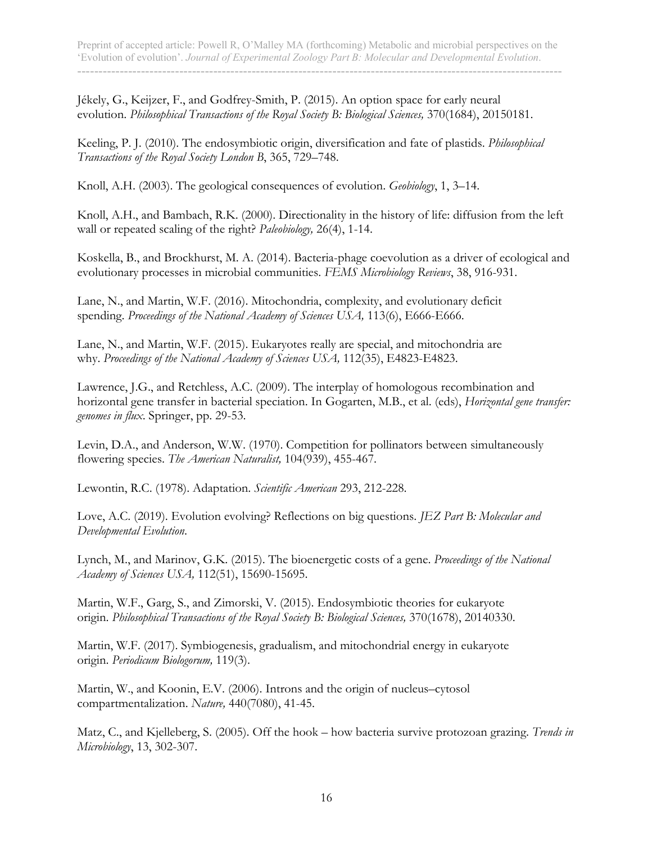Jékely, G., Keijzer, F., and Godfrey-Smith, P. (2015). An option space for early neural evolution. *Philosophical Transactions of the Royal Society B: Biological Sciences,* 370(1684), 20150181.

Keeling, P. J. (2010). The endosymbiotic origin, diversification and fate of plastids. *Philosophical Transactions of the Royal Society London B*, 365, 729–748.

Knoll, A.H. (2003). The geological consequences of evolution. *Geobiology*, 1, 3–14.

Knoll, A.H., and Bambach, R.K. (2000). Directionality in the history of life: diffusion from the left wall or repeated scaling of the right? *Paleobiology,* 26(4), 1-14.

Koskella, B., and Brockhurst, M. A. (2014). Bacteria-phage coevolution as a driver of ecological and evolutionary processes in microbial communities. *FEMS Microbiology Reviews*, 38, 916-931.

Lane, N., and Martin, W.F. (2016). Mitochondria, complexity, and evolutionary deficit spending. *Proceedings of the National Academy of Sciences USA,* 113(6), E666-E666.

Lane, N., and Martin, W.F. (2015). Eukaryotes really are special, and mitochondria are why. *Proceedings of the National Academy of Sciences USA,* 112(35), E4823-E4823.

Lawrence, J.G., and Retchless, A.C. (2009). The interplay of homologous recombination and horizontal gene transfer in bacterial speciation. In Gogarten, M.B., et al. (eds), *Horizontal gene transfer: genomes in flux*. Springer, pp. 29-53.

Levin, D.A., and Anderson, W.W. (1970). Competition for pollinators between simultaneously flowering species. *The American Naturalist,* 104(939), 455-467.

Lewontin, R.C. (1978). Adaptation. *Scientific American* 293, 212-228.

Love, A.C. (2019). Evolution evolving? Reflections on big questions. *JEZ Part B: Molecular and Developmental Evolution*.

Lynch, M., and Marinov, G.K. (2015). The bioenergetic costs of a gene. *Proceedings of the National Academy of Sciences USA,* 112(51), 15690-15695.

Martin, W.F., Garg, S., and Zimorski, V. (2015). Endosymbiotic theories for eukaryote origin. *Philosophical Transactions of the Royal Society B: Biological Sciences,* 370(1678), 20140330.

Martin, W.F. (2017). Symbiogenesis, gradualism, and mitochondrial energy in eukaryote origin. *Periodicum Biologorum,* 119(3).

Martin, W., and Koonin, E.V. (2006). Introns and the origin of nucleus–cytosol compartmentalization. *Nature,* 440(7080), 41-45.

Matz, C., and Kjelleberg, S. (2005). Off the hook – how bacteria survive protozoan grazing. *Trends in Microbiology*, 13, 302-307.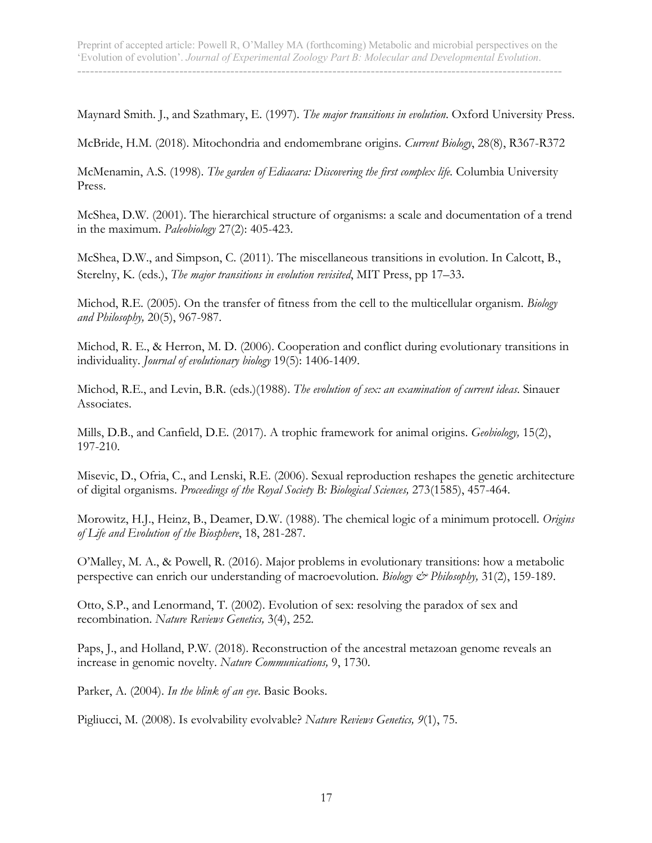Maynard Smith. J., and Szathmary, E. (1997). *The major transitions in evolution*. Oxford University Press.

McBride, H.M. (2018). Mitochondria and endomembrane origins. *Current Biology*, 28(8), R367-R372

McMenamin, A.S. (1998). *The garden of Ediacara: Discovering the first complex life.* Columbia University Press.

McShea, D.W. (2001). The hierarchical structure of organisms: a scale and documentation of a trend in the maximum. *Paleobiology* 27(2): 405-423.

McShea, D.W., and Simpson, C. (2011). The miscellaneous transitions in evolution. In Calcott, B., Sterelny, K. (eds.), *The major transitions in evolution revisited*, MIT Press, pp 17–33.

Michod, R.E. (2005). On the transfer of fitness from the cell to the multicellular organism. *Biology and Philosophy,* 20(5), 967-987.

Michod, R. E., & Herron, M. D. (2006). Cooperation and conflict during evolutionary transitions in individuality. *Journal of evolutionary biology* 19(5): 1406-1409.

Michod, R.E., and Levin, B.R. (eds.)(1988). *The evolution of sex: an examination of current ideas*. Sinauer Associates.

Mills, D.B., and Canfield, D.E. (2017). A trophic framework for animal origins. *Geobiology,* 15(2), 197-210.

Misevic, D., Ofria, C., and Lenski, R.E. (2006). Sexual reproduction reshapes the genetic architecture of digital organisms. *Proceedings of the Royal Society B: Biological Sciences,* 273(1585), 457-464.

Morowitz, H.J., Heinz, B., Deamer, D.W. (1988). The chemical logic of a minimum protocell. *Origins of Life and Evolution of the Biosphere*, 18, 281-287.

O'Malley, M. A., & Powell, R. (2016). Major problems in evolutionary transitions: how a metabolic perspective can enrich our understanding of macroevolution. *Biology & Philosophy,* 31(2), 159-189.

Otto, S.P., and Lenormand, T. (2002). Evolution of sex: resolving the paradox of sex and recombination. *Nature Reviews Genetics,* 3(4), 252.

Paps, J., and Holland, P.W. (2018). Reconstruction of the ancestral metazoan genome reveals an increase in genomic novelty. *Nature Communications,* 9, 1730.

Parker, A. (2004). *In the blink of an eye*. Basic Books.

Pigliucci, M. (2008). Is evolvability evolvable? *Nature Reviews Genetics, 9*(1), 75.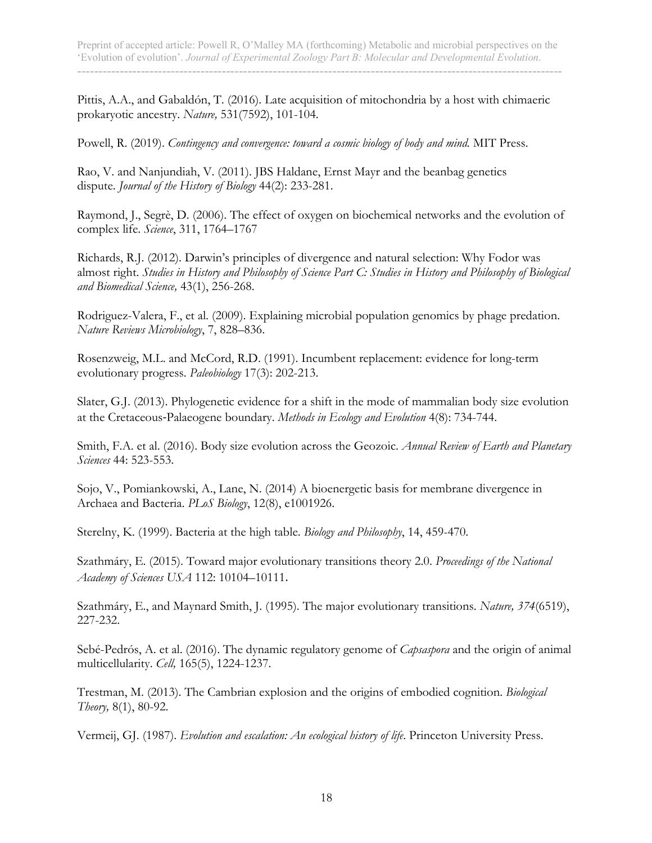Pittis, A.A., and Gabaldón, T. (2016). Late acquisition of mitochondria by a host with chimaeric prokaryotic ancestry. *Nature,* 531(7592), 101-104.

Powell, R. (2019). *Contingency and convergence: toward a cosmic biology of body and mind.* MIT Press.

Rao, V. and Nanjundiah, V. (2011). JBS Haldane, Ernst Mayr and the beanbag genetics dispute. *Journal of the History of Biology* 44(2): 233-281.

Raymond, J., Segrè, D. (2006). The effect of oxygen on biochemical networks and the evolution of complex life. *Science*, 311, 1764–1767

Richards, R.J. (2012). Darwin's principles of divergence and natural selection: Why Fodor was almost right. *Studies in History and Philosophy of Science Part C: Studies in History and Philosophy of Biological and Biomedical Science,* 43(1), 256-268.

Rodriguez-Valera, F., et al. (2009). Explaining microbial population genomics by phage predation. *Nature Reviews Microbiology*, 7, 828–836.

Rosenzweig, M.L. and McCord, R.D. (1991). Incumbent replacement: evidence for long-term evolutionary progress. *Paleobiology* 17(3): 202-213.

Slater, G.J. (2013). Phylogenetic evidence for a shift in the mode of mammalian body size evolution at the Cretaceous-Palaeogene boundary. *Methods in Ecology and Evolution* 4(8): 734-744.

Smith, F.A. et al. (2016). Body size evolution across the Geozoic. *Annual Review of Earth and Planetary Sciences* 44: 523-553.

Sojo, V., Pomiankowski, A., Lane, N. (2014) A bioenergetic basis for membrane divergence in Archaea and Bacteria. *PLoS Biology*, 12(8), e1001926.

Sterelny, K. (1999). Bacteria at the high table. *Biology and Philosophy*, 14, 459-470.

Szathmáry, E. (2015). Toward major evolutionary transitions theory 2.0. *Proceedings of the National Academy of Sciences USA* 112: 10104–10111.

Szathmáry, E., and Maynard Smith, J. (1995). The major evolutionary transitions. *Nature, 374*(6519), 227-232.

Sebé-Pedrós, A. et al. (2016). The dynamic regulatory genome of *Capsaspora* and the origin of animal multicellularity. *Cell,* 165(5), 1224-1237.

Trestman, M. (2013). The Cambrian explosion and the origins of embodied cognition. *Biological Theory,* 8(1), 80-92.

Vermeij, GJ. (1987). *Evolution and escalation: An ecological history of life*. Princeton University Press.